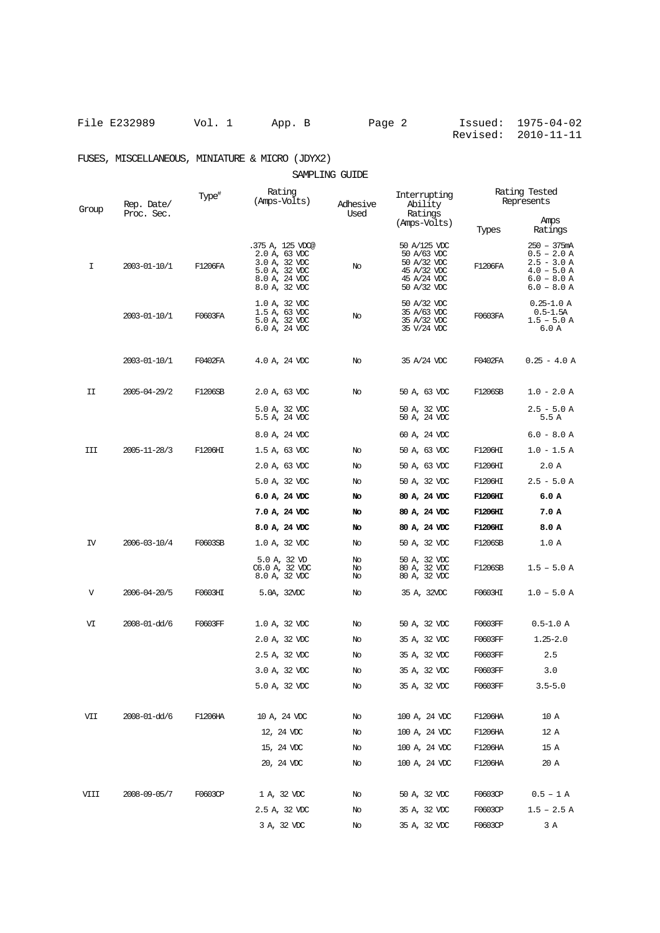File E232989 Vol. 1 App. B Page 2 Issued: 1975-04-02 Revised: 2010-11-11

## FUSES, MISCELLANEOUS, MINIATURE & MICRO (JDYX2)

## SAMPLING GUIDE

| Group | Rep. Date/<br>Proc. Sec. | Type <sup>#</sup> | Rating<br>(Amps-Volts)                                                                                | Adhesive<br>Used | Interrupting<br>Ability<br>Ratings<br>(Amps-Volts)                                      | Rating Tested<br>Represents |                                                                                                  |
|-------|--------------------------|-------------------|-------------------------------------------------------------------------------------------------------|------------------|-----------------------------------------------------------------------------------------|-----------------------------|--------------------------------------------------------------------------------------------------|
|       |                          |                   |                                                                                                       |                  |                                                                                         | Types                       | Amps<br>Ratings                                                                                  |
| Ι     | 2003-01-10/1             | F1206FA           | .375 A, 125 VDC@<br>2.0 A, 63 VDC<br>3.0 A, 32 VDC<br>5.0 A, 32 VDC<br>8.0 A, 24 VDC<br>8.0 A, 32 VDC | No               | 50 A/125 VDC<br>50 A/63 VDC<br>50 A/32 VDC<br>45 A/32 VDC<br>45 A/24 VDC<br>50 A/32 VDC | F1206FA                     | 250 - 375mA<br>$0.5 - 2.0 A$<br>$2.5 - 3.0 A$<br>$4.0 - 5.0 A$<br>$6.0 - 8.0 A$<br>$6.0 - 8.0 A$ |
|       | 2003-01-10/1             | F0603FA           | 1.0 A, 32 VDC<br>$1.5$ A, 63 VDC<br>5.0 A, 32 VDC<br>6.0 A, 24 VDC                                    | No               | 50 A/32 VDC<br>35 A/63 VDC<br>35 A/32 VDC<br>35 V/24 VDC                                | F0603FA                     | $0.25 - 1.0 A$<br>$0.5 - 1.5A$<br>$1.5 - 5.0 A$<br>6.0 A                                         |
|       | 2003-01-10/1             | F0402FA           | 4.0 A, 24 VDC                                                                                         | No               | 35 A/24 VDC                                                                             | F0402FA                     | $0.25 - 4.0 A$                                                                                   |
| II    | 2005-04-29/2             | F1206SB           | 2.0 A, 63 VDC                                                                                         | No               | 50 A, 63 VDC                                                                            | F1206SB                     | $1.0 - 2.0 A$                                                                                    |
|       |                          |                   | 5.0 A, 32 VDC<br>5.5 A, 24 VDC                                                                        |                  | 50 A, 32 VDC<br>50 A, 24 VDC                                                            |                             | $2.5 - 5.0 A$<br>5.5 A                                                                           |
|       |                          |                   | 8.0 A, 24 VDC                                                                                         |                  | 60 A, 24 VDC                                                                            |                             | $6.0 - 8.0 A$                                                                                    |
| III   | 2005-11-28/3             | F1206HI           | 1.5 A, 63 VDC                                                                                         | No               | 50 A, 63 VDC                                                                            | F1206HI                     | $1.0 - 1.5 A$                                                                                    |
|       |                          |                   | 2.0 A, 63 VDC                                                                                         | No               | 50 A, 63 VDC                                                                            | F1206HI                     | 2.0 A                                                                                            |
|       |                          |                   | 5.0 A, 32 VDC                                                                                         | No               | 50 A, 32 VDC                                                                            | F1206HI                     | $2.5 - 5.0 A$                                                                                    |
|       |                          |                   | $6.0 A$ , 24 VDC                                                                                      | No               | 80 A, 24 VDC                                                                            | <b>F1206HI</b>              | 6.0 A                                                                                            |
|       |                          |                   | 7.0 A, 24 VDC                                                                                         | No               | 80 A, 24 VDC                                                                            | <b>F1206HI</b>              | 7.0 A                                                                                            |
|       |                          |                   | 8.0 A, 24 VDC                                                                                         | No               | 80 A, 24 VDC                                                                            | <b>F1206HI</b>              | 8.0 A                                                                                            |
| IV    | 2006-03-10/4             | F0603SB           | 1.0 A, 32 VDC                                                                                         | No               | 50 A, 32 VDC                                                                            | F1206SB                     | 1.0 A                                                                                            |
|       |                          |                   | 5.0 A, 32 VD<br>C6.0 A, 32 VDC<br>8.0 A, 32 VDC                                                       | No<br>No<br>No   | 50 A, 32 VDC<br>80 A, 32 VDC<br>80 A, 32 VDC                                            | F1206SB                     | $1.5 - 5.0 A$                                                                                    |
| V     | 2006-04-20/5             | F0603HI           | 5.0A, 32VDC                                                                                           | No               | 35 A, 32VDC                                                                             | F0603HI                     | $1.0 - 5.0 A$                                                                                    |
| VI    | 2008-01-dd/6             | F0603FF           | 1.0 A, 32 VDC                                                                                         | No               | 50 A, 32 VDC                                                                            | F0603FF                     | $0.5 - 1.0 A$                                                                                    |
|       |                          |                   | 2.0 A, 32 VDC                                                                                         | No               | 35 A, 32 VDC                                                                            | F0603FF                     | $1.25 - 2.0$                                                                                     |
|       |                          |                   | 2.5 A, 32 VDC                                                                                         | No               | 35 A, 32 VDC                                                                            | F0603FF                     | 2.5                                                                                              |
|       |                          |                   | 3.0 A, 32 VDC                                                                                         | No               | 35 A, 32 VDC                                                                            | F0603FF                     | 3.0                                                                                              |
|       |                          |                   | 5.0 A, 32 VDC                                                                                         | No               | 35 A, 32 VDC                                                                            | F0603FF                     | $3.5 - 5.0$                                                                                      |
| VII   | 2008-01-dd/6             | F1206HA           | 10 A, 24 VDC                                                                                          | No               | 100 A, 24 VDC                                                                           | F1206HA                     | 10 A                                                                                             |
|       |                          |                   | 12, 24 VDC                                                                                            | No               | 100 A, 24 VDC                                                                           | F1206HA                     | 12 A                                                                                             |
|       |                          |                   | 15, 24 VDC                                                                                            | No               | 100 A, 24 VDC                                                                           | F1206HA                     | 15 A                                                                                             |
|       |                          |                   | 20, 24 VDC                                                                                            | No               | 100 A, 24 VDC                                                                           | F1206HA                     | 20 A                                                                                             |
| VIII  | 2008-09-05/7             | F0603CP           | 1 A, 32 VDC                                                                                           | No               | 50 A, 32 VDC                                                                            | F0603CP                     | $0.5 - 1 A$                                                                                      |
|       |                          |                   | 2.5 A, 32 VDC                                                                                         | No               | 35 A, 32 VDC                                                                            | F0603CP                     | $1.5 - 2.5$ A                                                                                    |
|       |                          |                   | 3 A, 32 VDC                                                                                           | No               | 35 A, 32 VDC                                                                            | F0603CP                     | 3 A                                                                                              |